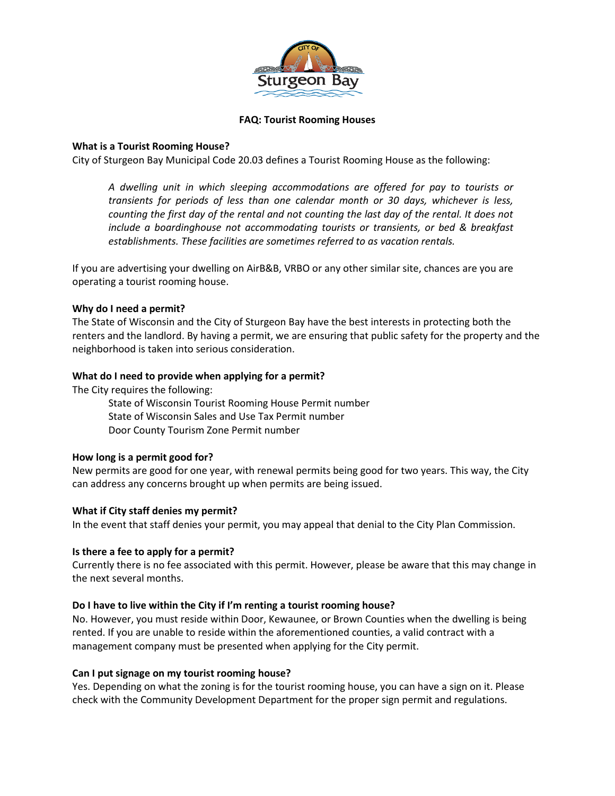

### **FAQ: Tourist Rooming Houses**

# **What is a Tourist Rooming House?**

City of Sturgeon Bay Municipal Code 20.03 defines a Tourist Rooming House as the following:

*A dwelling unit in which sleeping accommodations are offered for pay to tourists or transients for periods of less than one calendar month or 30 days, whichever is less, counting the first day of the rental and not counting the last day of the rental. It does not include a boardinghouse not accommodating tourists or transients, or bed & breakfast establishments. These facilities are sometimes referred to as vacation rentals.* 

If you are advertising your dwelling on AirB&B, VRBO or any other similar site, chances are you are operating a tourist rooming house.

# **Why do I need a permit?**

The State of Wisconsin and the City of Sturgeon Bay have the best interests in protecting both the renters and the landlord. By having a permit, we are ensuring that public safety for the property and the neighborhood is taken into serious consideration.

# **What do I need to provide when applying for a permit?**

The City requires the following:

State of Wisconsin Tourist Rooming House Permit number State of Wisconsin Sales and Use Tax Permit number Door County Tourism Zone Permit number

# **How long is a permit good for?**

New permits are good for one year, with renewal permits being good for two years. This way, the City can address any concerns brought up when permits are being issued.

# **What if City staff denies my permit?**

In the event that staff denies your permit, you may appeal that denial to the City Plan Commission.

#### **Is there a fee to apply for a permit?**

Currently there is no fee associated with this permit. However, please be aware that this may change in the next several months.

# **Do I have to live within the City if I'm renting a tourist rooming house?**

No. However, you must reside within Door, Kewaunee, or Brown Counties when the dwelling is being rented. If you are unable to reside within the aforementioned counties, a valid contract with a management company must be presented when applying for the City permit.

# **Can I put signage on my tourist rooming house?**

Yes. Depending on what the zoning is for the tourist rooming house, you can have a sign on it. Please check with the Community Development Department for the proper sign permit and regulations.